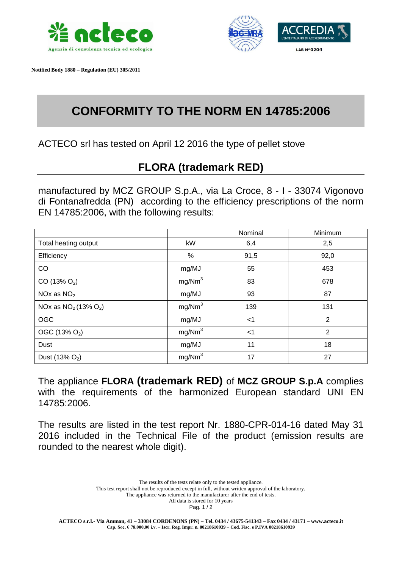

 **Notified Body 1880 – Regulation (EU) 305/2011**



## **CONFORMITY TO THE NORM EN 14785:2006**

ACTECO srl has tested on April 12 2016 the type of pellet stove

## **FLORA (trademark RED)**

manufactured by MCZ GROUP S.p.A., via La Croce, 8 - I - 33074 Vigonovo di Fontanafredda (PN) according to the efficiency prescriptions of the norm EN 14785:2006, with the following results:

|                           |                    | Nominal | Minimum        |
|---------------------------|--------------------|---------|----------------|
| Total heating output      | kW                 | 6,4     | 2,5            |
| Efficiency                | %                  | 91,5    | 92,0           |
| CO                        | mg/MJ              | 55      | 453            |
| $CO(13\% O_2)$            | mg/Nm <sup>3</sup> | 83      | 678            |
| NOx as $NO2$              | mg/MJ              | 93      | 87             |
| NOx as $NO2$ (13% $O2$ )  | mg/Nm <sup>3</sup> | 139     | 131            |
| <b>OGC</b>                | mg/MJ              | $<$ 1   | $\overline{2}$ |
| OGC (13% O <sub>2</sub> ) | mg/Nm <sup>3</sup> | $<$ 1   | $\overline{2}$ |
| Dust                      | mg/MJ              | 11      | 18             |
| Dust $(13% O2)$           | mg/Nm <sup>3</sup> | 17      | 27             |

The appliance **FLORA (trademark RED)** of **MCZ GROUP S.p.A** complies with the requirements of the harmonized European standard UNI EN 14785:2006.

The results are listed in the test report Nr. 1880-CPR-014-16 dated May 31 2016 included in the Technical File of the product (emission results are rounded to the nearest whole digit).

> The results of the tests relate only to the tested appliance. This test report shall not be reproduced except in full, without written approval of the laboratory. The appliance was returned to the manufacturer after the end of tests. All data is stored for 10 years

Pag. 1 / 2

**ACTECO s.r.l.- Via Amman, 41 – 33084 CORDENONS (PN) – Tel. 0434 / 43675-541343 – Fax 0434 / 43171 – www.acteco.it Cap. Soc. € 78.000,00 i.v. – Iscr. Reg. Impr. n. 00218610939 – Cod. Fisc. e P.IVA 00218610939**